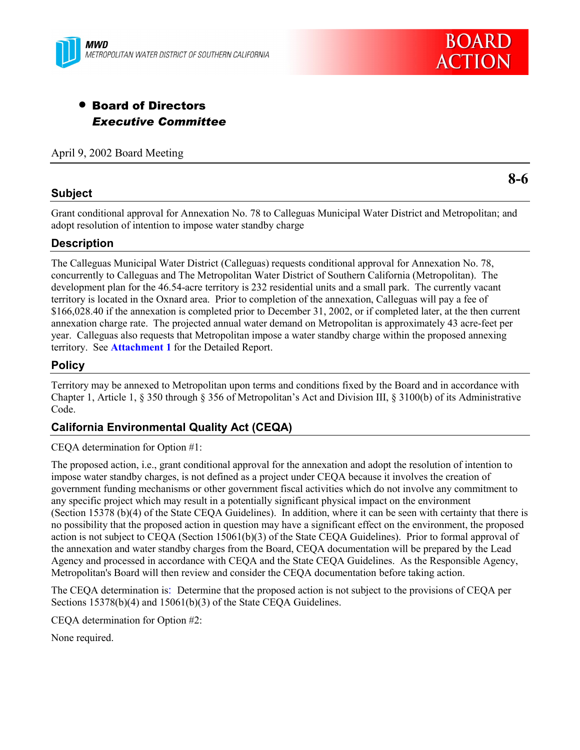



# • Board of Directors *Executive Committee*

April 9, 2002 Board Meeting

# **Subject**

**8-6**

Grant conditional approval for Annexation No. 78 to Calleguas Municipal Water District and Metropolitan; and adopt resolution of intention to impose water standby charge

# **Description**

The Calleguas Municipal Water District (Calleguas) requests conditional approval for Annexation No. 78, concurrently to Calleguas and The Metropolitan Water District of Southern California (Metropolitan). The development plan for the 46.54-acre territory is 232 residential units and a small park. The currently vacant territory is located in the Oxnard area. Prior to completion of the annexation, Calleguas will pay a fee of \$166,028.40 if the annexation is completed prior to December 31, 2002, or if completed later, at the then current annexation charge rate. The projected annual water demand on Metropolitan is approximately 43 acre-feet per year. Calleguas also requests that Metropolitan impose a water standby charge within the proposed annexing territory. See **Attachment 1** for the Detailed Report.

# **Policy**

Territory may be annexed to Metropolitan upon terms and conditions fixed by the Board and in accordance with Chapter 1, Article 1,  $\S 350$  through  $\S 356$  of Metropolitan's Act and Division III,  $\S 3100(b)$  of its Administrative Code.

# **California Environmental Quality Act (CEQA)**

CEQA determination for Option #1:

The proposed action, i.e., grant conditional approval for the annexation and adopt the resolution of intention to impose water standby charges, is not defined as a project under CEQA because it involves the creation of government funding mechanisms or other government fiscal activities which do not involve any commitment to any specific project which may result in a potentially significant physical impact on the environment (Section 15378 (b)(4) of the State CEQA Guidelines). In addition, where it can be seen with certainty that there is no possibility that the proposed action in question may have a significant effect on the environment, the proposed action is not subject to CEQA (Section 15061(b)(3) of the State CEQA Guidelines). Prior to formal approval of the annexation and water standby charges from the Board, CEQA documentation will be prepared by the Lead Agency and processed in accordance with CEQA and the State CEQA Guidelines. As the Responsible Agency, Metropolitan's Board will then review and consider the CEQA documentation before taking action.

The CEQA determination is: Determine that the proposed action is not subject to the provisions of CEQA per Sections 15378(b)(4) and 15061(b)(3) of the State CEQA Guidelines.

CEQA determination for Option #2:

None required.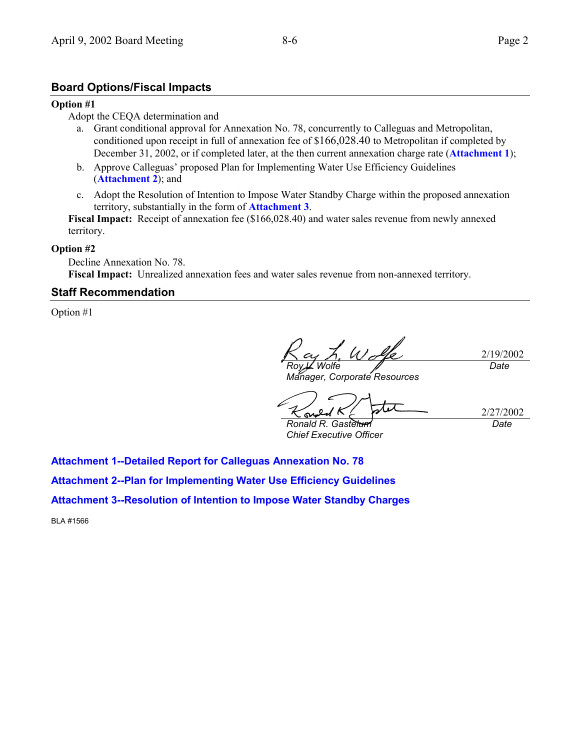# **Board Options/Fiscal Impacts**

#### **Option #1**

#### Adopt the CEQA determination and

- a. Grant conditional approval for Annexation No. 78, concurrently to Calleguas and Metropolitan, conditioned upon receipt in full of annexation fee of \$166,028.40 to Metropolitan if completed by December 31, 2002, or if completed later, at the then current annexation charge rate (**Attachment 1**);
- b. Approve Calleguas' proposed Plan for Implementing Water Use Efficiency Guidelines (**Attachment 2**); and
- c. Adopt the Resolution of Intention to Impose Water Standby Charge within the proposed annexation territory, substantially in the form of **Attachment 3**.

Fiscal Impact: Receipt of annexation fee (\$166,028.40) and water sales revenue from newly annexed territory.

#### **Option #2**

Decline Annexation No. 78. **Fiscal Impact:** Unrealized annexation fees and water sales revenue from non-annexed territory.

## **Staff Recommendation**

Option #1

U M 2/19/2002 *Roy L. Wolfe Date*

*Manager, Corporate Resources*

2/27/2002 S

*Ronald R. Gastelum Chief Executive Officer* *Date*

**Attachment 1--Detailed Report for Calleguas Annexation No. 78**

**Attachment 2--Plan for Implementing Water Use Efficiency Guidelines**

**Attachment 3--Resolution of Intention to Impose Water Standby Charges**

BLA #1566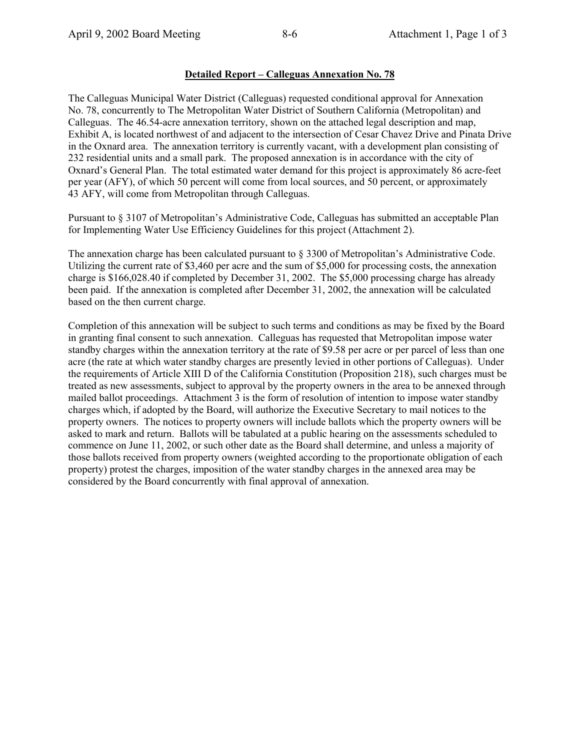## **Detailed Report – Calleguas Annexation No. 78**

The Calleguas Municipal Water District (Calleguas) requested conditional approval for Annexation No. 78, concurrently to The Metropolitan Water District of Southern California (Metropolitan) and Calleguas. The 46.54-acre annexation territory, shown on the attached legal description and map, Exhibit A, is located northwest of and adjacent to the intersection of Cesar Chavez Drive and Pinata Drive in the Oxnard area. The annexation territory is currently vacant, with a development plan consisting of 232 residential units and a small park. The proposed annexation is in accordance with the city of Oxnard's General Plan. The total estimated water demand for this project is approximately 86 acre-feet per year (AFY), of which 50 percent will come from local sources, and 50 percent, or approximately 43 AFY, will come from Metropolitan through Calleguas.

Pursuant to § 3107 of Metropolitan's Administrative Code, Calleguas has submitted an acceptable Plan for Implementing Water Use Efficiency Guidelines for this project (Attachment 2).

The annexation charge has been calculated pursuant to § 3300 of Metropolitan's Administrative Code. Utilizing the current rate of \$3,460 per acre and the sum of \$5,000 for processing costs, the annexation charge is \$166,028.40 if completed by December 31, 2002. The \$5,000 processing charge has already been paid. If the annexation is completed after December 31, 2002, the annexation will be calculated based on the then current charge.

Completion of this annexation will be subject to such terms and conditions as may be fixed by the Board in granting final consent to such annexation. Calleguas has requested that Metropolitan impose water standby charges within the annexation territory at the rate of \$9.58 per acre or per parcel of less than one acre (the rate at which water standby charges are presently levied in other portions of Calleguas). Under the requirements of Article XIII D of the California Constitution (Proposition 218), such charges must be treated as new assessments, subject to approval by the property owners in the area to be annexed through mailed ballot proceedings. Attachment 3 is the form of resolution of intention to impose water standby charges which, if adopted by the Board, will authorize the Executive Secretary to mail notices to the property owners. The notices to property owners will include ballots which the property owners will be asked to mark and return. Ballots will be tabulated at a public hearing on the assessments scheduled to commence on June 11, 2002, or such other date as the Board shall determine, and unless a majority of those ballots received from property owners (weighted according to the proportionate obligation of each property) protest the charges, imposition of the water standby charges in the annexed area may be considered by the Board concurrently with final approval of annexation.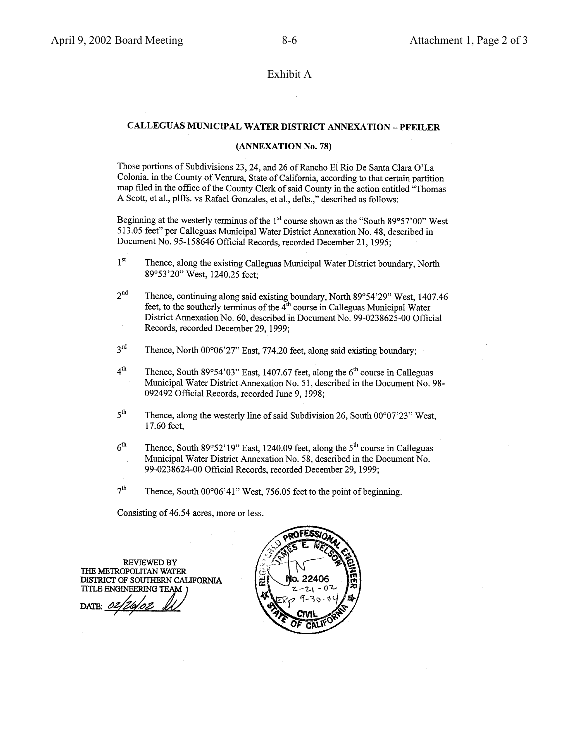#### Exhibit A

## CALLEGUAS MUNICIPAL WATER DISTRICT ANNEXATION - PFEILER

#### (ANNEXATION No. 78)

Those portions of Subdivisions 23, 24, and 26 of Rancho El Rio De Santa Clara O'La Colonia, in the County of Ventura, State of California, according to that certain partition map filed in the office of the County Clerk of said County in the action entitled "Thomas A Scott, et al., plffs. vs Rafael Gonzales, et al., defts.," described as follows:

Beginning at the westerly terminus of the 1<sup>st</sup> course shown as the "South 89°57'00" West 513.05 feet" per Calleguas Municipal Water District Annexation No. 48, described in Document No. 95-158646 Official Records, recorded December 21, 1995;

- $1<sup>st</sup>$ Thence, along the existing Calleguas Municipal Water District boundary, North 89°53'20" West, 1240.25 feet;
- $2<sup>nd</sup>$ Thence, continuing along said existing boundary, North 89°54'29" West, 1407.46 feet, to the southerly terminus of the 4<sup>th</sup> course in Calleguas Municipal Water District Annexation No. 60, described in Document No. 99-0238625-00 Official Records, recorded December 29, 1999;
- $3<sup>rd</sup>$ Thence, North 00°06'27" East, 774.20 feet, along said existing boundary;
- $4<sup>th</sup>$ Thence, South 89°54'03" East, 1407.67 feet, along the  $6<sup>th</sup>$  course in Calleguas Municipal Water District Annexation No. 51, described in the Document No. 98-092492 Official Records, recorded June 9, 1998;
- $5^{\text{th}}$ Thence, along the westerly line of said Subdivision 26, South 00°07'23" West, 17.60 feet,
- $6<sup>th</sup>$ Thence, South 89°52'19" East, 1240.09 feet, along the 5<sup>th</sup> course in Calleguas Municipal Water District Annexation No. 58, described in the Document No. 99-0238624-00 Official Records, recorded December 29, 1999;
- $7<sup>th</sup>$ Thence, South 00°06'41" West, 756.05 feet to the point of beginning.

Consisting of 46.54 acres, more or less.

**REVIEWED BY** THE METROPOLITAN WATER DISTRICT OF SOUTHERN CALIFORNIA TITLE ENGINEERING TEAM )

DATE:

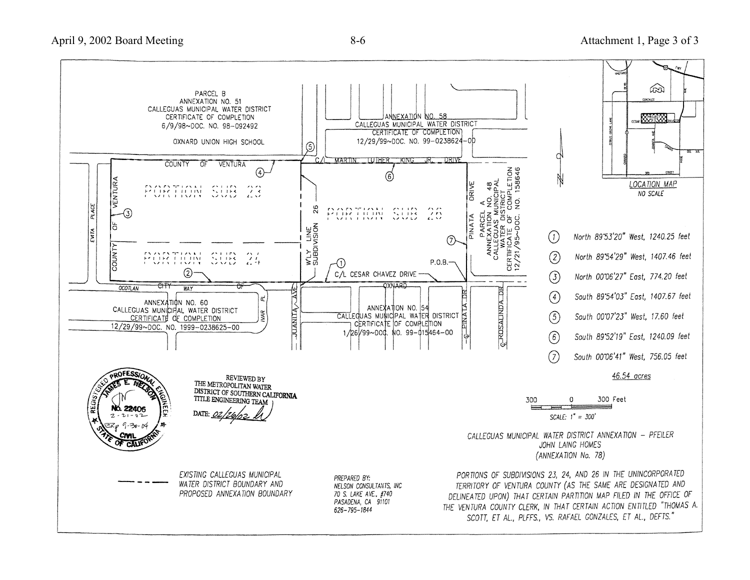

70 S. LAKE AVE., #740

PASADENA, CA 91101

626-795-1844

TERRITORY OF VENTURA COUNTY (AS THE SAME ARE DESIGNATED AND DELINEATED UPON) THAT CERTAIN PARTITION MAP FILED IN THE OFFICE OF THE VENTURA COUNTY CLERK, IN THAT CERTAIN ACTION ENTITLED "THOMAS A. SCOTT, ET AL., PLFFS., VS. RAFAEL GONZALES, ET AL., DEFTS."

PROPOSED ANNEXATION BOUNDARY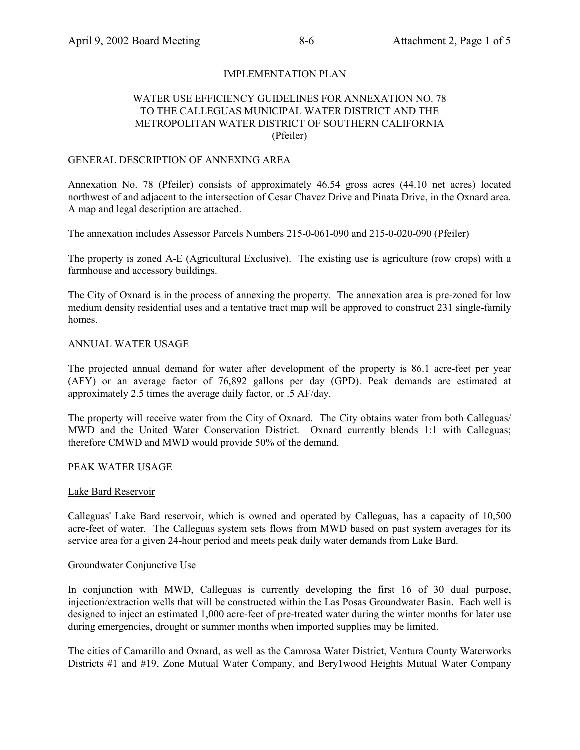## IMPLEMENTATION PLAN

## WATER USE EFFICIENCY GUIDELINES FOR ANNEXATION NO. 78 TO THE CALLEGUAS MUNICIPAL WATER DISTRICT AND THE METROPOLITAN WATER DISTRICT OF SOUTHERN CALIFORNIA (Pfeiler)

#### GENERAL DESCRIPTION OF ANNEXING AREA

Annexation No. 78 (Pfeiler) consists of approximately 46.54 gross acres (44.10 net acres) located northwest of and adjacent to the intersection of Cesar Chavez Drive and Pinata Drive, in the Oxnard area. A map and legal description are attached.

The annexation includes Assessor Parcels Numbers 215-0-061-090 and 215-0-020-090 (Pfeiler)

The property is zoned A-E (Agricultural Exclusive). The existing use is agriculture (row crops) with a farmhouse and accessory buildings.

The City of Oxnard is in the process of annexing the property. The annexation area is pre-zoned for low medium density residential uses and a tentative tract map will be approved to construct 231 single-family homes.

#### ANNUAL WATER USAGE

The projected annual demand for water after development of the property is 86.1 acre-feet per year (AFY) or an average factor of 76,892 gallons per day (GPD). Peak demands are estimated at approximately 2.5 times the average daily factor, or .5 AF/day.

The property will receive water from the City of Oxnard. The City obtains water from both Calleguas/ MWD and the United Water Conservation District. Oxnard currently blends 1:1 with Calleguas; therefore CMWD and MWD would provide 50% of the demand.

#### PEAK WATER USAGE

#### Lake Bard Reservoir

Calleguas' Lake Bard reservoir, which is owned and operated by Calleguas, has a capacity of 10,500 acre-feet of water. The Calleguas system sets flows from MWD based on past system averages for its service area for a given 24-hour period and meets peak daily water demands from Lake Bard.

#### Groundwater Conjunctive Use

In conjunction with MWD, Calleguas is currently developing the first 16 of 30 dual purpose, injection/extraction wells that will be constructed within the Las Posas Groundwater Basin. Each well is designed to inject an estimated 1,000 acre-feet of pre-treated water during the winter months for later use during emergencies, drought or summer months when imported supplies may be limited.

The cities of Camarillo and Oxnard, as well as the Camrosa Water District, Ventura County Waterworks Districts #1 and #19, Zone Mutual Water Company, and Bery1wood Heights Mutual Water Company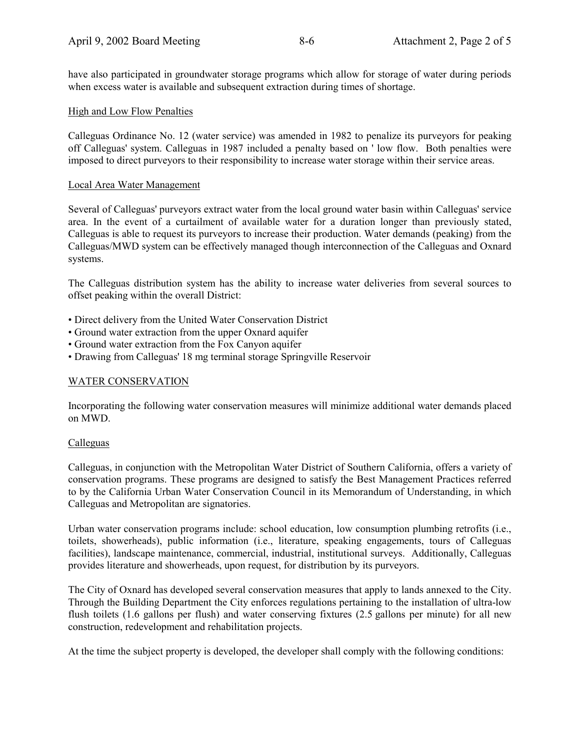have also participated in groundwater storage programs which allow for storage of water during periods when excess water is available and subsequent extraction during times of shortage.

## High and Low Flow Penalties

Calleguas Ordinance No. 12 (water service) was amended in 1982 to penalize its purveyors for peaking off Calleguas' system. Calleguas in 1987 included a penalty based on ' low flow. Both penalties were imposed to direct purveyors to their responsibility to increase water storage within their service areas.

#### Local Area Water Management

Several of Calleguas' purveyors extract water from the local ground water basin within Calleguas' service area. In the event of a curtailment of available water for a duration longer than previously stated, Calleguas is able to request its purveyors to increase their production. Water demands (peaking) from the Calleguas/MWD system can be effectively managed though interconnection of the Calleguas and Oxnard systems.

The Calleguas distribution system has the ability to increase water deliveries from several sources to offset peaking within the overall District:

- Direct delivery from the United Water Conservation District
- ï Ground water extraction from the upper Oxnard aquifer
- ï Ground water extraction from the Fox Canyon aquifer
- Drawing from Calleguas' 18 mg terminal storage Springville Reservoir

#### WATER CONSERVATION

Incorporating the following water conservation measures will minimize additional water demands placed on MWD.

#### Calleguas

Calleguas, in conjunction with the Metropolitan Water District of Southern California, offers a variety of conservation programs. These programs are designed to satisfy the Best Management Practices referred to by the California Urban Water Conservation Council in its Memorandum of Understanding, in which Calleguas and Metropolitan are signatories.

Urban water conservation programs include: school education, low consumption plumbing retrofits (i.e., toilets, showerheads), public information (i.e., literature, speaking engagements, tours of Calleguas facilities), landscape maintenance, commercial, industrial, institutional surveys. Additionally, Calleguas provides literature and showerheads, upon request, for distribution by its purveyors.

The City of Oxnard has developed several conservation measures that apply to lands annexed to the City. Through the Building Department the City enforces regulations pertaining to the installation of ultra-low flush toilets (1.6 gallons per flush) and water conserving fixtures (2.5 gallons per minute) for all new construction, redevelopment and rehabilitation projects.

At the time the subject property is developed, the developer shall comply with the following conditions: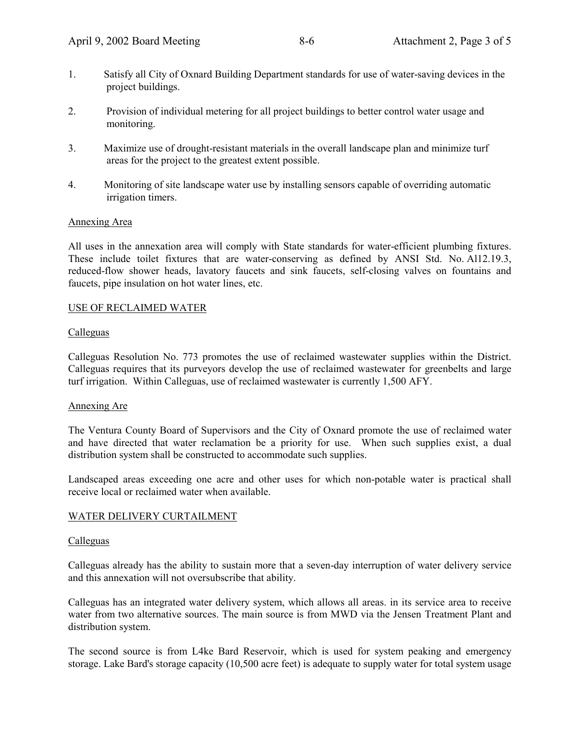- 1. Satisfy all City of Oxnard Building Department standards for use of water-saving devices in the project buildings.
- 2. Provision of individual metering for all project buildings to better control water usage and monitoring.
- 3. Maximize use of drought-resistant materials in the overall landscape plan and minimize turf areas for the project to the greatest extent possible.
- 4. Monitoring of site landscape water use by installing sensors capable of overriding automatic irrigation timers.

#### Annexing Area

All uses in the annexation area will comply with State standards for water-efficient plumbing fixtures. These include toilet fixtures that are water-conserving as defined by ANSI Std. No. Al12.19.3, reduced-flow shower heads, lavatory faucets and sink faucets, self-closing valves on fountains and faucets, pipe insulation on hot water lines, etc.

#### USE OF RECLAIMED WATER

#### Calleguas

Calleguas Resolution No. 773 promotes the use of reclaimed wastewater supplies within the District. Calleguas requires that its purveyors develop the use of reclaimed wastewater for greenbelts and large turf irrigation. Within Calleguas, use of reclaimed wastewater is currently 1,500 AFY.

#### Annexing Are

The Ventura County Board of Supervisors and the City of Oxnard promote the use of reclaimed water and have directed that water reclamation be a priority for use. When such supplies exist, a dual distribution system shall be constructed to accommodate such supplies.

Landscaped areas exceeding one acre and other uses for which non-potable water is practical shall receive local or reclaimed water when available.

#### WATER DELIVERY CURTAILMENT

#### Calleguas

Calleguas already has the ability to sustain more that a seven-day interruption of water delivery service and this annexation will not oversubscribe that ability.

Calleguas has an integrated water delivery system, which allows all areas. in its service area to receive water from two alternative sources. The main source is from MWD via the Jensen Treatment Plant and distribution system.

The second source is from L4ke Bard Reservoir, which is used for system peaking and emergency storage. Lake Bard's storage capacity (10,500 acre feet) is adequate to supply water for total system usage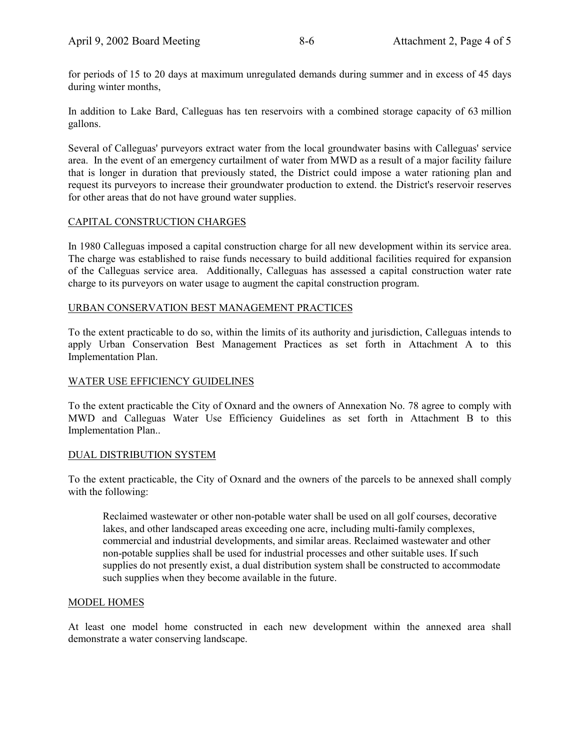for periods of 15 to 20 days at maximum unregulated demands during summer and in excess of 45 days during winter months,

In addition to Lake Bard, Calleguas has ten reservoirs with a combined storage capacity of 63 million gallons.

Several of Calleguas' purveyors extract water from the local groundwater basins with Calleguas' service area. In the event of an emergency curtailment of water from MWD as a result of a major facility failure that is longer in duration that previously stated, the District could impose a water rationing plan and request its purveyors to increase their groundwater production to extend. the District's reservoir reserves for other areas that do not have ground water supplies.

#### CAPITAL CONSTRUCTION CHARGES

In 1980 Calleguas imposed a capital construction charge for all new development within its service area. The charge was established to raise funds necessary to build additional facilities required for expansion of the Calleguas service area. Additionally, Calleguas has assessed a capital construction water rate charge to its purveyors on water usage to augment the capital construction program.

#### URBAN CONSERVATION BEST MANAGEMENT PRACTICES

To the extent practicable to do so, within the limits of its authority and jurisdiction, Calleguas intends to apply Urban Conservation Best Management Practices as set forth in Attachment A to this Implementation Plan.

#### WATER USE EFFICIENCY GUIDELINES

To the extent practicable the City of Oxnard and the owners of Annexation No. 78 agree to comply with MWD and Calleguas Water Use Efficiency Guidelines as set forth in Attachment B to this Implementation Plan..

#### DUAL DISTRIBUTION SYSTEM

To the extent practicable, the City of Oxnard and the owners of the parcels to be annexed shall comply with the following:

Reclaimed wastewater or other non-potable water shall be used on all golf courses, decorative lakes, and other landscaped areas exceeding one acre, including multi-family complexes, commercial and industrial developments, and similar areas. Reclaimed wastewater and other non-potable supplies shall be used for industrial processes and other suitable uses. If such supplies do not presently exist, a dual distribution system shall be constructed to accommodate such supplies when they become available in the future.

#### MODEL HOMES

At least one model home constructed in each new development within the annexed area shall demonstrate a water conserving landscape.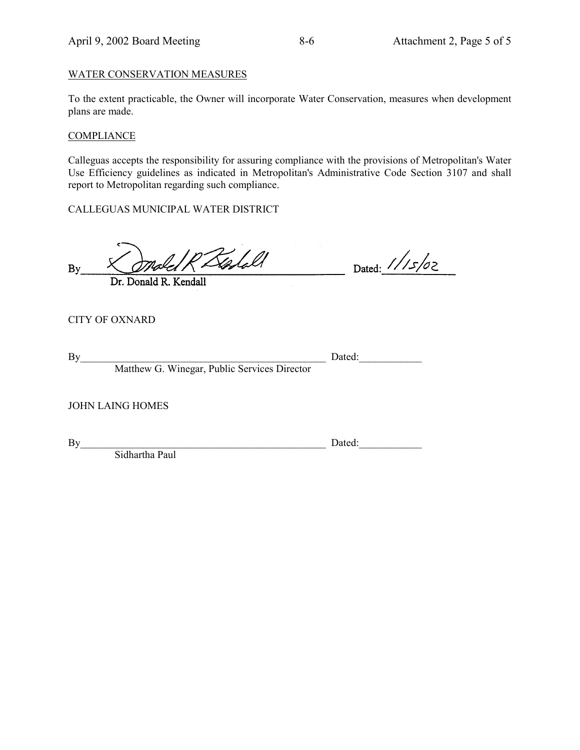#### WATER CONSERVATION MEASURES

To the extent practicable, the Owner will incorporate Water Conservation, measures when development plans are made.

# **COMPLIANCE**

Calleguas accepts the responsibility for assuring compliance with the provisions of Metropolitan's Water Use Efficiency guidelines as indicated in Metropolitan's Administrative Code Section 3107 and shall report to Metropolitan regarding such compliance.

CALLEGUAS MUNICIPAL WATER DISTRICT

Golall **By** 

Dr. Donald R. Kendall

CITY OF OXNARD

Matthew G. Winegar, Public Services Director

| By | Dated. |
|----|--------|

Dated:  $1/15/02$ 

JOHN LAING HOMES

By Dated:

Sidhartha Paul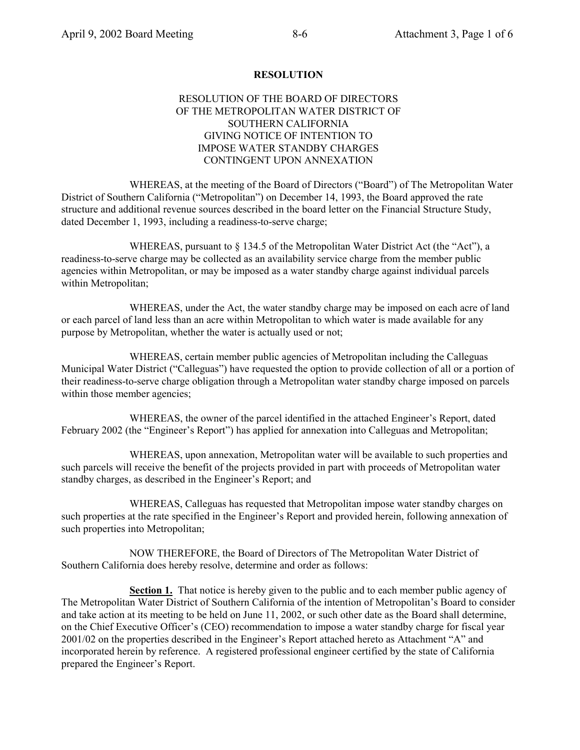#### **RESOLUTION**

## RESOLUTION OF THE BOARD OF DIRECTORS OF THE METROPOLITAN WATER DISTRICT OF SOUTHERN CALIFORNIA GIVING NOTICE OF INTENTION TO IMPOSE WATER STANDBY CHARGES CONTINGENT UPON ANNEXATION

WHEREAS, at the meeting of the Board of Directors ("Board") of The Metropolitan Water District of Southern California ("Metropolitan") on December 14, 1993, the Board approved the rate structure and additional revenue sources described in the board letter on the Financial Structure Study, dated December 1, 1993, including a readiness-to-serve charge;

WHEREAS, pursuant to  $\S$  134.5 of the Metropolitan Water District Act (the "Act"), a readiness-to-serve charge may be collected as an availability service charge from the member public agencies within Metropolitan, or may be imposed as a water standby charge against individual parcels within Metropolitan;

WHEREAS, under the Act, the water standby charge may be imposed on each acre of land or each parcel of land less than an acre within Metropolitan to which water is made available for any purpose by Metropolitan, whether the water is actually used or not;

WHEREAS, certain member public agencies of Metropolitan including the Calleguas Municipal Water District ("Calleguas") have requested the option to provide collection of all or a portion of their readiness-to-serve charge obligation through a Metropolitan water standby charge imposed on parcels within those member agencies;

WHEREAS, the owner of the parcel identified in the attached Engineer's Report, dated February 2002 (the "Engineer's Report") has applied for annexation into Calleguas and Metropolitan;

WHEREAS, upon annexation, Metropolitan water will be available to such properties and such parcels will receive the benefit of the projects provided in part with proceeds of Metropolitan water standby charges, as described in the Engineer's Report; and

WHEREAS, Calleguas has requested that Metropolitan impose water standby charges on such properties at the rate specified in the Engineer's Report and provided herein, following annexation of such properties into Metropolitan;

NOW THEREFORE, the Board of Directors of The Metropolitan Water District of Southern California does hereby resolve, determine and order as follows:

**Section 1.** That notice is hereby given to the public and to each member public agency of The Metropolitan Water District of Southern California of the intention of Metropolitanís Board to consider and take action at its meeting to be held on June 11, 2002, or such other date as the Board shall determine, on the Chief Executive Officer's (CEO) recommendation to impose a water standby charge for fiscal year  $2001/02$  on the properties described in the Engineer's Report attached hereto as Attachment "A" and incorporated herein by reference. A registered professional engineer certified by the state of California prepared the Engineer's Report.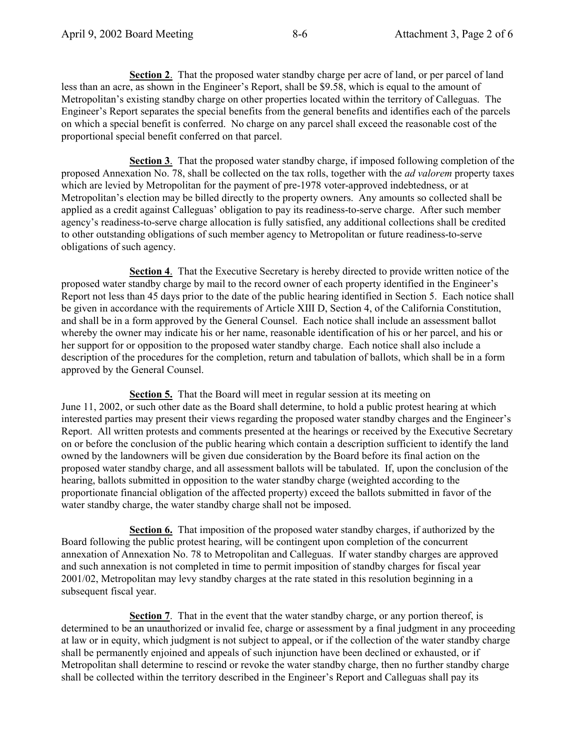**Section 2**. That the proposed water standby charge per acre of land, or per parcel of land less than an acre, as shown in the Engineer's Report, shall be \$9.58, which is equal to the amount of Metropolitan's existing standby charge on other properties located within the territory of Calleguas. The Engineer's Report separates the special benefits from the general benefits and identifies each of the parcels on which a special benefit is conferred. No charge on any parcel shall exceed the reasonable cost of the proportional special benefit conferred on that parcel.

**Section 3**. That the proposed water standby charge, if imposed following completion of the proposed Annexation No. 78, shall be collected on the tax rolls, together with the *ad valorem* property taxes which are levied by Metropolitan for the payment of pre-1978 voter-approved indebtedness, or at Metropolitan's election may be billed directly to the property owners. Any amounts so collected shall be applied as a credit against Calleguas' obligation to pay its readiness-to-serve charge. After such member agencyís readiness-to-serve charge allocation is fully satisfied, any additional collections shall be credited to other outstanding obligations of such member agency to Metropolitan or future readiness-to-serve obligations of such agency.

**Section 4**. That the Executive Secretary is hereby directed to provide written notice of the proposed water standby charge by mail to the record owner of each property identified in the Engineer's Report not less than 45 days prior to the date of the public hearing identified in Section 5. Each notice shall be given in accordance with the requirements of Article XIII D, Section 4, of the California Constitution, and shall be in a form approved by the General Counsel. Each notice shall include an assessment ballot whereby the owner may indicate his or her name, reasonable identification of his or her parcel, and his or her support for or opposition to the proposed water standby charge. Each notice shall also include a description of the procedures for the completion, return and tabulation of ballots, which shall be in a form approved by the General Counsel.

**Section 5.** That the Board will meet in regular session at its meeting on June 11, 2002, or such other date as the Board shall determine, to hold a public protest hearing at which interested parties may present their views regarding the proposed water standby charges and the Engineer's Report. All written protests and comments presented at the hearings or received by the Executive Secretary on or before the conclusion of the public hearing which contain a description sufficient to identify the land owned by the landowners will be given due consideration by the Board before its final action on the proposed water standby charge, and all assessment ballots will be tabulated. If, upon the conclusion of the hearing, ballots submitted in opposition to the water standby charge (weighted according to the proportionate financial obligation of the affected property) exceed the ballots submitted in favor of the water standby charge, the water standby charge shall not be imposed.

**Section 6.** That imposition of the proposed water standby charges, if authorized by the Board following the public protest hearing, will be contingent upon completion of the concurrent annexation of Annexation No. 78 to Metropolitan and Calleguas. If water standby charges are approved and such annexation is not completed in time to permit imposition of standby charges for fiscal year 2001/02, Metropolitan may levy standby charges at the rate stated in this resolution beginning in a subsequent fiscal year.

**Section 7**. That in the event that the water standby charge, or any portion thereof, is determined to be an unauthorized or invalid fee, charge or assessment by a final judgment in any proceeding at law or in equity, which judgment is not subject to appeal, or if the collection of the water standby charge shall be permanently enjoined and appeals of such injunction have been declined or exhausted, or if Metropolitan shall determine to rescind or revoke the water standby charge, then no further standby charge shall be collected within the territory described in the Engineer's Report and Calleguas shall pay its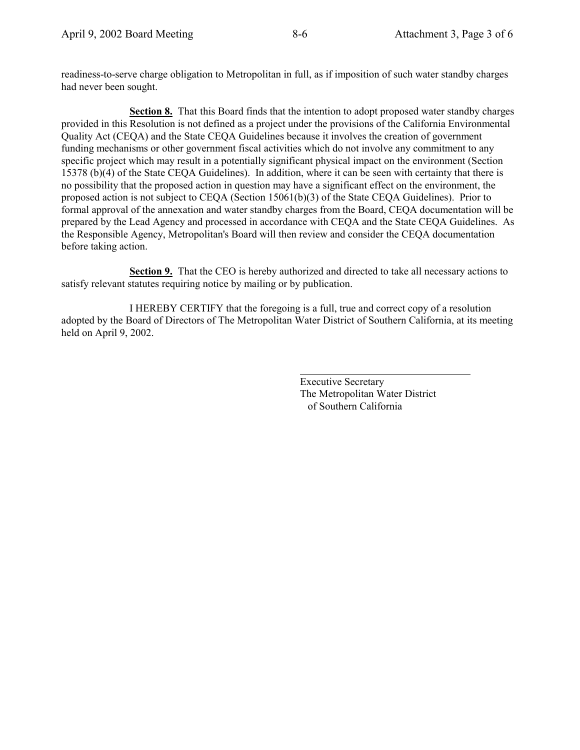readiness-to-serve charge obligation to Metropolitan in full, as if imposition of such water standby charges had never been sought.

**Section 8.** That this Board finds that the intention to adopt proposed water standby charges provided in this Resolution is not defined as a project under the provisions of the California Environmental Quality Act (CEQA) and the State CEQA Guidelines because it involves the creation of government funding mechanisms or other government fiscal activities which do not involve any commitment to any specific project which may result in a potentially significant physical impact on the environment (Section 15378 (b)(4) of the State CEQA Guidelines). In addition, where it can be seen with certainty that there is no possibility that the proposed action in question may have a significant effect on the environment, the proposed action is not subject to CEQA (Section 15061(b)(3) of the State CEQA Guidelines). Prior to formal approval of the annexation and water standby charges from the Board, CEQA documentation will be prepared by the Lead Agency and processed in accordance with CEQA and the State CEQA Guidelines. As the Responsible Agency, Metropolitan's Board will then review and consider the CEQA documentation before taking action.

**Section 9.** That the CEO is hereby authorized and directed to take all necessary actions to satisfy relevant statutes requiring notice by mailing or by publication.

I HEREBY CERTIFY that the foregoing is a full, true and correct copy of a resolution adopted by the Board of Directors of The Metropolitan Water District of Southern California, at its meeting held on April 9, 2002.

 $\overline{a}$ 

Executive Secretary The Metropolitan Water District of Southern California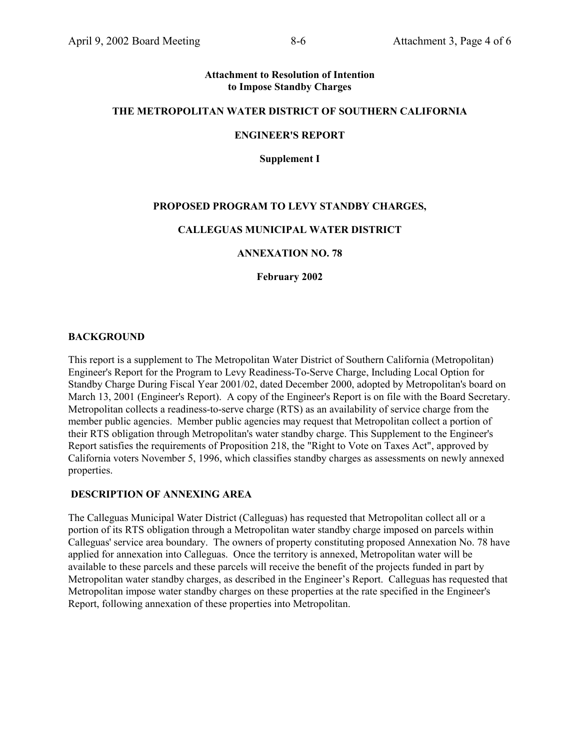#### **Attachment to Resolution of Intention to Impose Standby Charges**

## **THE METROPOLITAN WATER DISTRICT OF SOUTHERN CALIFORNIA**

## **ENGINEER'S REPORT**

**Supplement I**

# **PROPOSED PROGRAM TO LEVY STANDBY CHARGES,**

#### **CALLEGUAS MUNICIPAL WATER DISTRICT**

#### **ANNEXATION NO. 78**

**February 2002**

#### **BACKGROUND**

This report is a supplement to The Metropolitan Water District of Southern California (Metropolitan) Engineer's Report for the Program to Levy Readiness-To-Serve Charge, Including Local Option for Standby Charge During Fiscal Year 2001/02, dated December 2000, adopted by Metropolitan's board on March 13, 2001 (Engineer's Report). A copy of the Engineer's Report is on file with the Board Secretary. Metropolitan collects a readiness-to-serve charge (RTS) as an availability of service charge from the member public agencies. Member public agencies may request that Metropolitan collect a portion of their RTS obligation through Metropolitan's water standby charge. This Supplement to the Engineer's Report satisfies the requirements of Proposition 218, the "Right to Vote on Taxes Act", approved by California voters November 5, 1996, which classifies standby charges as assessments on newly annexed properties.

#### **DESCRIPTION OF ANNEXING AREA**

The Calleguas Municipal Water District (Calleguas) has requested that Metropolitan collect all or a portion of its RTS obligation through a Metropolitan water standby charge imposed on parcels within Calleguas' service area boundary. The owners of property constituting proposed Annexation No. 78 have applied for annexation into Calleguas. Once the territory is annexed, Metropolitan water will be available to these parcels and these parcels will receive the benefit of the projects funded in part by Metropolitan water standby charges, as described in the Engineer's Report. Calleguas has requested that Metropolitan impose water standby charges on these properties at the rate specified in the Engineer's Report, following annexation of these properties into Metropolitan.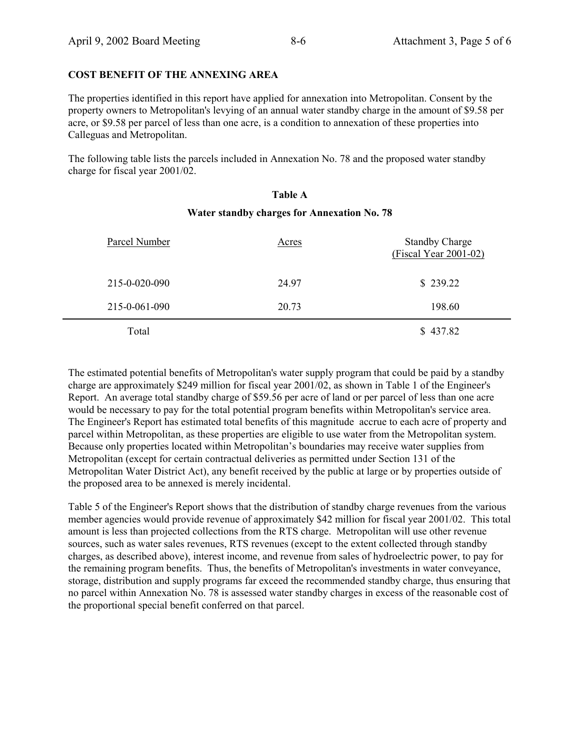## **COST BENEFIT OF THE ANNEXING AREA**

The properties identified in this report have applied for annexation into Metropolitan. Consent by the property owners to Metropolitan's levying of an annual water standby charge in the amount of \$9.58 per acre, or \$9.58 per parcel of less than one acre, is a condition to annexation of these properties into Calleguas and Metropolitan.

The following table lists the parcels included in Annexation No. 78 and the proposed water standby charge for fiscal year 2001/02.

#### **Table A**

#### **Water standby charges for Annexation No. 78**

| Parcel Number | Acres | <b>Standby Charge</b><br>$(Fiscal Year 2001-02)$ |
|---------------|-------|--------------------------------------------------|
| 215-0-020-090 | 24.97 | \$239.22                                         |
| 215-0-061-090 | 20.73 | 198.60                                           |
| Total         |       | \$437.82                                         |

The estimated potential benefits of Metropolitan's water supply program that could be paid by a standby charge are approximately \$249 million for fiscal year 2001/02, as shown in Table 1 of the Engineer's Report. An average total standby charge of \$59.56 per acre of land or per parcel of less than one acre would be necessary to pay for the total potential program benefits within Metropolitan's service area. The Engineer's Report has estimated total benefits of this magnitude accrue to each acre of property and parcel within Metropolitan, as these properties are eligible to use water from the Metropolitan system. Because only properties located within Metropolitan's boundaries may receive water supplies from Metropolitan (except for certain contractual deliveries as permitted under Section 131 of the Metropolitan Water District Act), any benefit received by the public at large or by properties outside of the proposed area to be annexed is merely incidental.

Table 5 of the Engineer's Report shows that the distribution of standby charge revenues from the various member agencies would provide revenue of approximately \$42 million for fiscal year 2001/02. This total amount is less than projected collections from the RTS charge. Metropolitan will use other revenue sources, such as water sales revenues, RTS revenues (except to the extent collected through standby charges, as described above), interest income, and revenue from sales of hydroelectric power, to pay for the remaining program benefits. Thus, the benefits of Metropolitan's investments in water conveyance, storage, distribution and supply programs far exceed the recommended standby charge, thus ensuring that no parcel within Annexation No. 78 is assessed water standby charges in excess of the reasonable cost of the proportional special benefit conferred on that parcel.